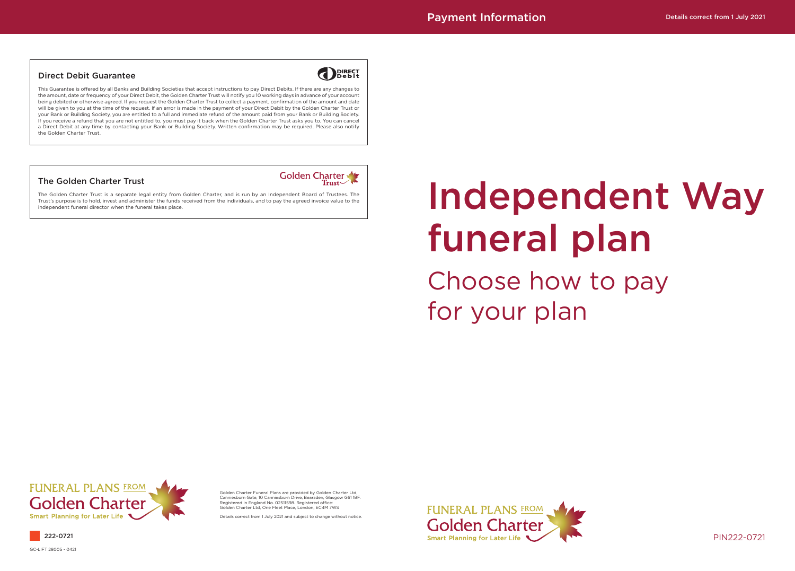# Independent Way funeral plan

Choose how to pay for your plan



PIN222-0721

#### Direct Debit Guarantee

**DIRECT** 

This Guarantee is offered by all Banks and Building Societies that accept instructions to pay Direct Debits. If there are any changes to the amount, date or frequency of your Direct Debit, the Golden Charter Trust will notify you 10 working days in advance of your account being debited or otherwise agreed. If you request the Golden Charter Trust to collect a payment, confirmation of the amount and date will be given to you at the time of the request. If an error is made in the payment of your Direct Debit by the Golden Charter Trust or your Bank or Building Society, you are entitled to a full and immediate refund of the amount paid from your Bank or Building Society. If you receive a refund that you are not entitled to, you must pay it back when the Golden Charter Trust asks you to. You can cancel a Direct Debit at any time by contacting your Bank or Building Society. Written confirmation may be required. Please also notify the Golden Charter Trust.

#### The Golden Charter Trust



The Golden Charter Trust is a separate legal entity from Golden Charter, and is run by an Independent Board of Trustees. The Trust's purpose is to hold, invest and administer the funds received from the individuals, and to pay the agreed invoice value to the independent funeral director when the funeral takes place.

GC-LIFT 28005 - 0421

Golden Charter Funeral Plans are provided by Golden Charter Ltd, Canniesburn Gate, 10 Canniesburn Drive, Bearsden, Glasgow G61 1BF. Registered in England No. 02511598. Registered office: Golden Charter Ltd, One Fleet Place, London, EC4M 7WS

Details correct from 1 July 2021 and subject to change without notice.



222-0721